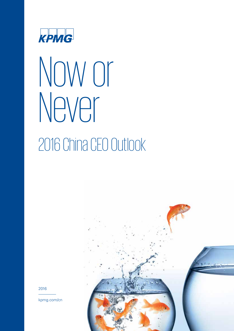

# Now or Never 2016 China CEO Outlook



2016

kpmg.com/cn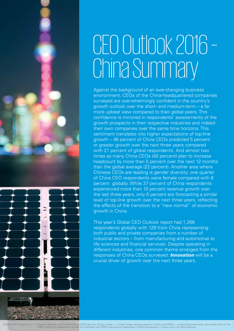



### CEO Outlook 2016 – China Summary

Against the background of an ever-changing business environment, CEOs of the China-headquartered companies surveyed are overwhelmingly confident in the country's growth outlook over the short- and medium-term – a far more upbeat view compared to their global peers. This confidence is mirrored in respondents' assessments of the growth prospects in their respective industries and indeed their own companies over the same time horizons. This sentiment translates into higher expectations of top-line growth – 46 percent of China CEOs predicted 5 percent or greater growth over the next three years compared with 21 percent of global respondents. And almost two times as many China CEOs (40 percent) plan to increase headcount by more than 5 percent over the next 12 months than the global average (22 percent). Another area where Chinese CEOs are leading is gender diversity: one quarter of China CEO respondents were female compared with 8 percent globally. While 37 percent of China respondents experienced more than 10 percent revenue growth over the last three years, only 6 percent are forecasting a similar level of top-line growth over the next three years, reflecting the effects of the transition to a "new normal" of economic growth in China.

This year's Global CEO Outlook report had 1,268 respondents globally with 129 from China representing both public and private companies from a number of industrial sectors – from manufacturing and automotive to life sciences and financial services. Despite operating in different industries, one common theme emerged from the responses of China CEOs surveyed: **Innovation** will be a crucial driver of growth over the next three years.

ple's Republic of China partnership, KPMG Advisory (China) Limited — a wholly foreign owned enterprise in China, and KPMG — a Hong Kong partnership, are member firms of the KPMG network of independent member firms affiliated with KPMG International Cooperative ("KPMG International"), a Swiss entity. All rights res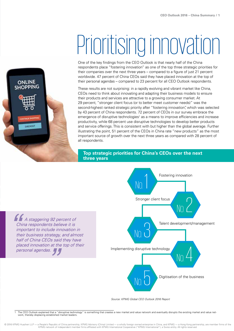## Prioritising innovation

One of the key findings from the CEO Outlook is that nearly half of the China respondents place "fostering innovation" as one of the top three strategic priorities for their companies over the next three years – compared to a figure of just 21 percent worldwide. 47 percent of China CEOs said they have placed innovation at the top of their personal agendas – compared to 23 percent for all CEO Outlook respondents.

These results are not surprising: in a rapidly evolving and vibrant market like China, CEOs need to think about innovating and adapting their business models to ensure their products and services are attractive to a growing consumer market. At 29 percent, "stronger client focus (or to better meet customer needs)" was the second-highest ranked strategic priority after "fostering innovation", which was selected by 43 percent of China respondents. 72 percent of CEOs in our survey embrace the emergence of disruptive technologies<sup>1</sup> as a means to improve efficiencies and increase productivity, while 68 percent use disruptive technologies to develop better products and service offerings. This is consistent with but higher than the global average. Further illustrating the point, 51 percent of the CEOs in China rate "new products" as the most important source of growth over the next three years as compared with 28 percent of all respondents.

### **Top strategic priorities for China's CEOs over the next three years**

No. 1 Fostering innovation Talent development/management Digitisation of the business Stronger client focus Implementing disruptive technology  $\sqrt{2}$  $\sqrt{N}$ **8**  $\sqrt{10}$ 

*Source: KPMG Global CEO Outlook 2016 Report*

The CEO Outlook explained that a "disruptive technology" is something that creates a new market and value network and eventually disrupts the existing market and value network, thereby displacing established market leaders.



**A** A staggering 92 percent of China respondents believe it is important to include innovation in their business strategy, and almost half of China CEOs said they have placed innovation at the top of their

tegy, and<br>; said the<br>at the to<sub>l</sub>

personal agendas.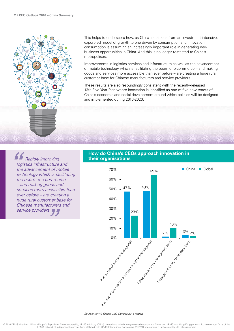

This helps to underscore how, as China transitions from an investment-intensive, export-led model of growth to one driven by consumption and innovation, consumption is assuming an increasingly important role in generating new business opportunities in China. And this is no longer restricted to China's metropolises.

Improvements in logistics services and infrastructure as well as the advancement of mobile technology which is facilitating the boom of e-commerce – and making goods and services more accessible than ever before – are creating a huge rural customer base for Chinese manufacturers and service providers.

These results are also resoundingly consistent with the recently-released 13th Five-Year Plan where innovation is identified as one of five new tenets of China's economic and social development around which policies will be designed and implemented during 2016-2020.

 $\mathbf{G}$  Rapidly improving logistics infrastructure and the advancement of mobile technology which is facilitating the boom of e-commerce – and making goods and services more accessible than ever before – are creating a huge rural customer base for Chinese manufacturers and service providers. creating<br>ner base<br>turers ar<br>J

### **How do China's CEOs approach innovation in their organisations**



*Source: KPMG Global CEO Outlook 2016 Report*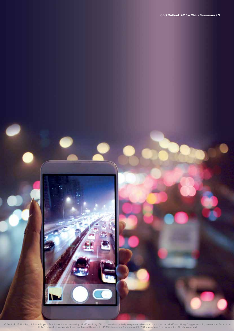

© 2016 KPMG Huazhen LLP — a People's Republic of China partnership, KPMG Advisory (China) Limited — a wholly foreign owned enterprise in China, and KPMG — a Hong Kong partnership, are member firms of the<br>KPMG network of in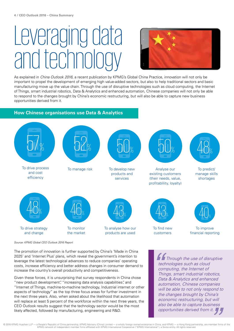### Leveraging data and technol



As explained in China Outlook 2016, a recent publication by KPMG's Global China Practice, innovation will not only be important to propel the development of emerging high value-added sectors, but also to help traditional sectors and basic manufacturing move up the value chain. Through the use of disruptive technologies such as cloud computing, the Internet of Things, smart industrial robotics, Data & Analytics and enhanced automation, Chinese companies will not only be able to respond to the changes brought by China's economic restructuring, but will also be able to capture new business opportunities derived from it.

### **How Chinese organisations use Data & Analytics**



*Source: KPMG Global CEO Outlook 2016 Report*

The promotion of innovation is further supported by China's 'Made in China 2025' and 'Internet Plus' plans, which reveal the government's intention to leverage the latest technological advances to reduce companies' operating costs, increase efficiency and better address changes in consumer demand to increase the country's overall productivity and competitiveness.

Given these forces, it is unsurprising that survey respondents in China chose "new product development", "increasing data analysis capabilities", and "Internet of Things, machine-to-machine technology, Industrial internet or other aspects of technology" as the top three focus areas for further investment in the next three years. Also, when asked about the likelihood that automation will replace at least 5 percent of the workforce within the next three years, the CEO Outlook results suggest that the technology sector would be the most likely affected, followed by manufacturing, engineering and R&D.

**f f** Through the use of disruptive technologies such as cloud computing, the Internet of Things, smart industrial robotics, Data & Analytics and enhanced automation, Chinese companies will be able to not only respond to the changes brought by China's economic restructuring, but will also be able to capture business the changes brought by China's<br>economic restructuring, but will<br>also be able to capture business<br>opportunities derived from it.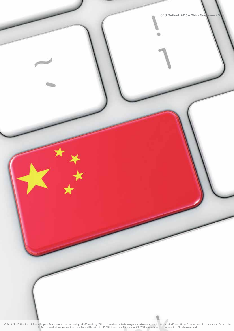© 2016 KPMG Huazhen LLP — a People's Republic of China partnership, KPMG Advisory (China) Limited — a wholly foreign owned enterprise in China, and KPMG — a Hong Kong partnership, are member firms of the<br>KPMG network of in

c.

 $\mathcal{L}$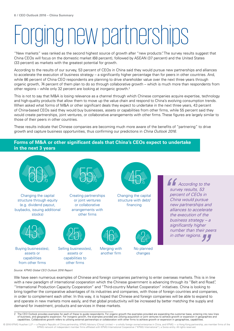### Forging new partnerships

"New markets" was ranked as the second highest source of growth after "new products". The survey results suggest that China CEOs will focus on the domestic market (68 percent), followed by ASEAN (37 percent) and the United States (33 percent) as markets with the greatest potential for growth.

According to the results of our survey, 53 percent of CEOs in China said they would pursue new partnerships and alliances to accelerate the execution of business strategy – a significantly higher percentage than for peers in other countries. And, while 86 percent of China CEO respondents are planning to drive shareholder value over the next three years through organic growth, 74 percent of them plan to do so through collaborative growth – which is much more than respondents from other regions – while only 32 percent are looking at inorganic growth.2

This is not to say that M&A is losing relevance as a channel through which Chinese companies acquire expertise, technology and high-quality products that allow them to move up the value chain and respond to China's evolving consumption trends. When asked what forms of M&A or other significant deals they expect to undertake in the next three years, 43 percent of China-based CEOs said they would buy businesses, assets or capabilities from other firms, while 55 percent said they would create partnerships, joint ventures, or collaborative arrangements with other firms. These figures are largely similar to those of their peers in other countries.

These results indicate that Chinese companies are becoming much more aware of the benefits of "partnering" to drive growth and capture business opportunities, thus confirming our predictions in China Outlook 2016.

### **Forms of M&A or other significant deals that China's CEOs expect to undertake in the next 3 years**



structure through equity (e.g. dividend payout, buybacks, issuing additional stocks)



Buying business(es), assets or capabilities from other firms



Creating partnerships or joint ventures or collaborative arrangements with other firms

Selling business(es), assets or capabilities to other firms



Merging with another firm



Changing the capital structure with debt/ financing



No planned changes

**ACCORDUM** to the survey results, 53 percent of CEOs in China would pursue new partnerships and alliances to accelerate the execution of the business strategy – a significantly higher number than their peers in other regions. iy – a<br>ier<br><sup>eir peers</sup><br>JJ

*Source: KPMG Global CEO Outlook 2016 Report*

We have seen numerous examples of Chinese and foreign companies partnering to enter overseas markets. This is in line with a new paradigm of international cooperation which the Chinese government is advancing through its "Belt and Road", "International Production Capacity Cooperation" and "Third-country Market Cooperation" initiatives. China is looking to bring together the comparative advantages of its industries and companies, with those of foreign countries and companies, in order to complement each other. In this way, it is hoped that Chinese and foreign companies will be able to expand to and operate in new markets more easily, and that global productivity will be increased by better matching the supply and demand for investment, products and services in these markets.

The CEO Outlook provides examples for each of these to guide respondents. For organic growth the examples provided are expanding the customer base, entering into new lines<br>of business, and geographic expansion. For inorgan capabilities. Collaborative growth refers to utilising external partnerships or collaboration with other firms to achieve growth or expansion in geographies, capabilities.

© 2016 KPMG Huazhen LLP — a People's Republic of China partnership, KPMG Advisory (China) Limited — a wholly foreign owned enterprise in China, and KPMG — a Hong Kong partnership, are member firms of the KPMG network of independent member firms affiliated with KPMG International Cooperative ("KPMG International"), a Swiss entity. All rights reserved.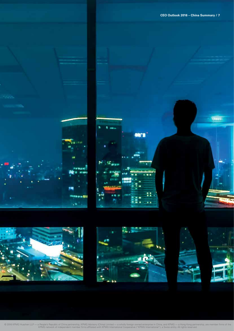











© 2016 KPMG Huazhen LLP — a People's Republic of China partnership, KPMG Advisory (China) Limited — a wholly foreign owned enterprise in China, and KPMG — a Hong Kong partnership, are member firms of the<br>KPMG network of in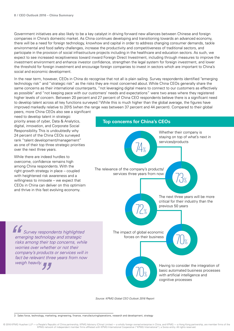Government initiatives are also likely to be a key catalyst in driving forward new alliances between Chinese and foreign companies in China's domestic market. As China continues developing and transitioning towards an advanced economy, there will be a need for foreign technology, knowhow and capital in order to address changing consumer demands, tackle environmental and food safety challenges, increase the productivity and competitiveness of traditional sectors, and participate in the provision of social infrastructure projects including in the healthcare and education sectors. As such, we expect to see increased receptiveness toward inward Foreign Direct Investment, including through measures to improve the investment environment and enhance investor confidence, strengthen the legal system for foreign investment, and lower the threshold for foreign investment and encourage foreign companies to invest in sectors which are important to China's social and economic development.

In the near term, however, CEOs in China do recognise that not all is plain sailing. Survey respondents identified "emerging technology risk" and "strategic risk" as the risks they are most concerned about. While China CEOs generally share the same concerns as their international counterparts, "not leveraging digital means to connect to our customers as effectively as possible" and "not keeping pace with our customers' needs and expectations" were two areas where they registered higher levels of concern. Between 20 percent and 27 percent of China CEO respondents believe there is a significant need to develop talent across all key functions surveyed.<sup>3</sup> While this is much higher than the global average, the figures have improved markedly relative to 2015 (when the range was between 37 percent and 44 percent). Compared to their global

peers, more China CEOs also see a significant need to develop talent in strategic priority areas of cyber, Data & Analytics, digital, innovation, and Corporate Social Responsibility. This is undoubtedly why 24 percent of the China CEOs surveyed rank "talent development/management" as one of their top three strategic priorities over the next three years.

While there are indeed hurdles to overcome, confidence remains high among China respondents. With the right growth strategy in place – coupled with heightened risk awareness and a willingness to innovate – we expect that CEOs in China can deliver on this optimism and thrive in this fast evolving economy.

*vnetner*<br>pducts o<br>nt three<br>クク

weigh heavily.

"

### **Top concerns for China's CEOs**



*Source: KPMG Global CEO Outlook 2016 Report*

3 Sales force, technology, marketing, engineering, finance, manufacturing/operations, research and development, strategy

<sup>© 2016</sup> KPMG Huazhen LLP — a People's Republic of China partnership, KPMG Advisory (China) Limited — a wholly foreign owned enterprise in China, and KPMG — a Hong Kong partnership, are member firms of the KPMG network of independent member firms affiliated with KPMG International Cooperative ("KPMG International"), a Swiss entity. All rights reserved.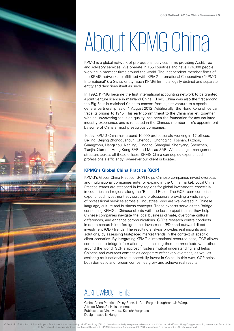### About KPMG China

KPMG is a global network of professional services firms providing Audit, Tax and Advisory services. We operate in 155 countries and have 174,000 people working in member firms around the world. The independent member firms of the KPMG network are affiliated with KPMG International Cooperative ("KPMG International"), a Swiss entity. Each KPMG firm is a legally distinct and separate entity and describes itself as such.

In 1992, KPMG became the first international accounting network to be granted a joint venture licence in mainland China. KPMG China was also the first among the Big Four in mainland China to convert from a joint venture to a special general partnership, as of 1 August 2012. Additionally, the Hong Kong office can trace its origins to 1945. This early commitment to the China market, together with an unwavering focus on quality, has been the foundation for accumulated industry experience, and is reflected in the Chinese member firm's appointment by some of China's most prestigious companies.

Today, KPMG China has around 10,000 professionals working in 17 offices: Beijing, Beijing Zhongguancun, Chengdu, Chongqing, Foshan, Fuzhou, Guangzhou, Hangzhou, Nanjing, Qingdao, Shanghai, Shenyang, Shenzhen, Tianjin, Xiamen, Hong Kong SAR and Macau SAR. With a single management structure across all these offices, KPMG China can deploy experienced professionals efficiently, wherever our client is located.

### **KPMG's Global China Practice (GCP)**

KPMG's Global China Practice (GCP) helps Chinese companies invest overseas and multinational companies enter or expand in the China market. Local China Practice teams are stationed in key regions for global investment, especially in countries and regions along the 'Belt and Road'. The GCP team comprises experienced investment advisors and professionals providing a wide range of professional services across all industries, who are well-versed in Chinese language, culture and business concepts. These experts serve as the 'bridge' connecting KPMG's Chinese clients with the local project teams: they help Chinese companies navigate the local business climate, overcome cultural differences, and enhance communications. GCP's research centre conducts in-depth research into foreign direct investment (FDI) and outward direct investment (ODI) trends. The resulting analysis provides real insights and solutions, by assessing fast-paced market trends in the context of specific client scenarios. By integrating KPMG's international resource base, GCP allows companies to bridge information 'gaps', helping them communicate with others around the world. GCP's approach fosters mutual understanding, and helps Chinese and overseas companies cooperate effectively overseas, as well as assisting multinationals to successfully invest in China. In this way, GCP helps both domestic and foreign companies grow and achieve real results.

### **Acknowledgments**

Global China Practice: Daisy Shen, Li Cui, Fergus Naughton, Jia Wang, Alfredo Montufar-Helu Jimenez Publications: Nina Mehra, Kanishk Verghese Design: Isabella Hung

© 2016 KPMG Huazhen LLP — a People's Republic of China partnership, KPMG Advisory (China) Limited — a wholly foreign owned enterprise in China, and KPMG — a Hong Kong partnership, are member firms of the ber firms affiliated with KPMG International Cooperative ("KPMG International"), a Swiss entity. All rights reserved